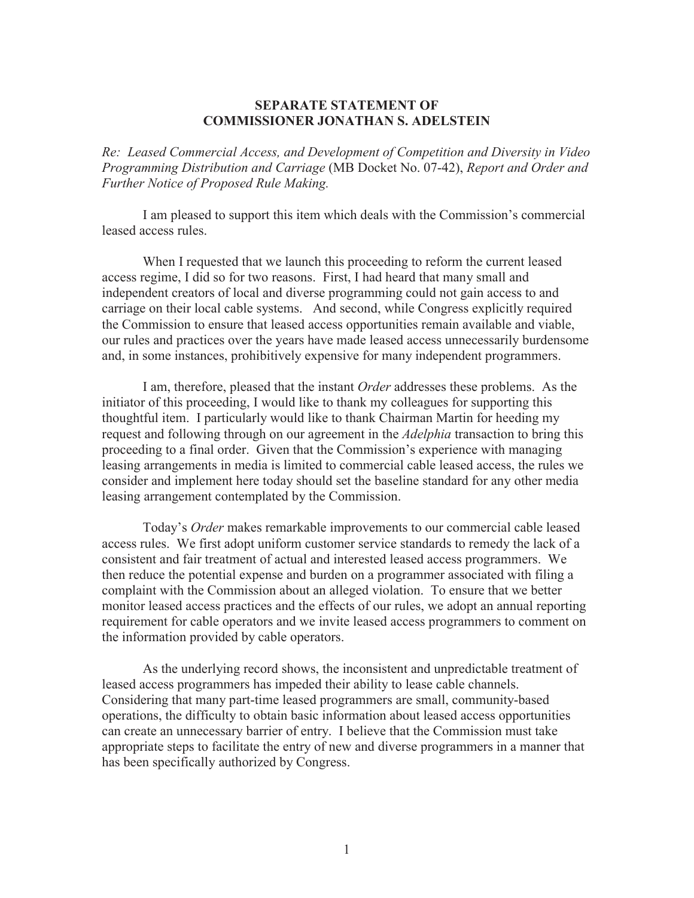## **SEPARATE STATEMENT OF COMMISSIONER JONATHAN S. ADELSTEIN**

*Re: Leased Commercial Access, and Development of Competition and Diversity in Video Programming Distribution and Carriage* (MB Docket No. 07-42), *Report and Order and Further Notice of Proposed Rule Making.*

I am pleased to support this item which deals with the Commission's commercial leased access rules.

When I requested that we launch this proceeding to reform the current leased access regime, I did so for two reasons. First, I had heard that many small and independent creators of local and diverse programming could not gain access to and carriage on their local cable systems. And second, while Congress explicitly required the Commission to ensure that leased access opportunities remain available and viable, our rules and practices over the years have made leased access unnecessarily burdensome and, in some instances, prohibitively expensive for many independent programmers.

I am, therefore, pleased that the instant *Order* addresses these problems. As the initiator of this proceeding, I would like to thank my colleagues for supporting this thoughtful item. I particularly would like to thank Chairman Martin for heeding my request and following through on our agreement in the *Adelphia* transaction to bring this proceeding to a final order. Given that the Commission's experience with managing leasing arrangements in media is limited to commercial cable leased access, the rules we consider and implement here today should set the baseline standard for any other media leasing arrangement contemplated by the Commission.

Today's *Order* makes remarkable improvements to our commercial cable leased access rules. We first adopt uniform customer service standards to remedy the lack of a consistent and fair treatment of actual and interested leased access programmers. We then reduce the potential expense and burden on a programmer associated with filing a complaint with the Commission about an alleged violation. To ensure that we better monitor leased access practices and the effects of our rules, we adopt an annual reporting requirement for cable operators and we invite leased access programmers to comment on the information provided by cable operators.

As the underlying record shows, the inconsistent and unpredictable treatment of leased access programmers has impeded their ability to lease cable channels. Considering that many part-time leased programmers are small, community-based operations, the difficulty to obtain basic information about leased access opportunities can create an unnecessary barrier of entry. I believe that the Commission must take appropriate steps to facilitate the entry of new and diverse programmers in a manner that has been specifically authorized by Congress.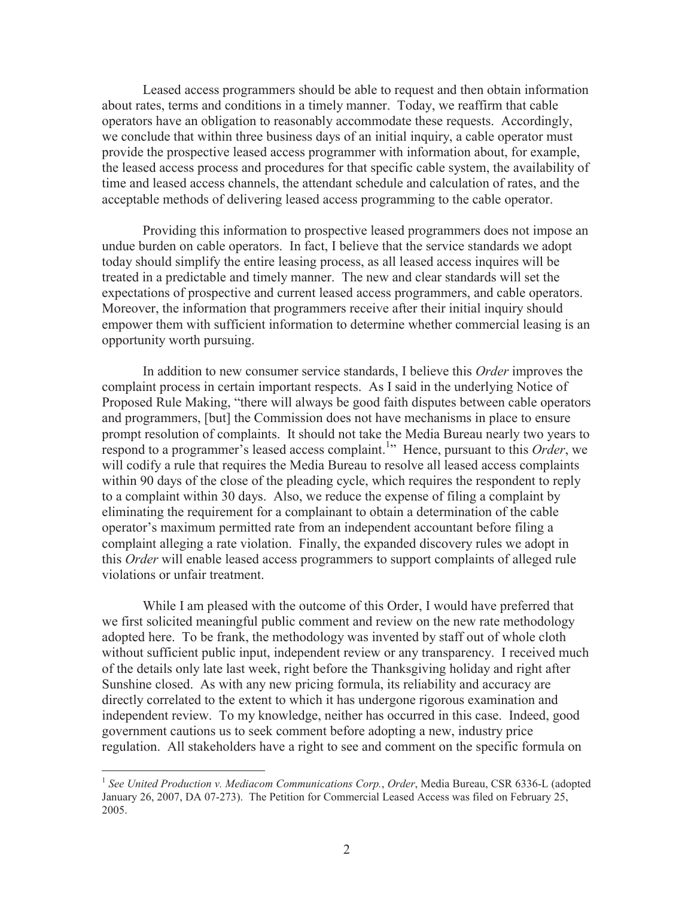Leased access programmers should be able to request and then obtain information about rates, terms and conditions in a timely manner. Today, we reaffirm that cable operators have an obligation to reasonably accommodate these requests. Accordingly, we conclude that within three business days of an initial inquiry, a cable operator must provide the prospective leased access programmer with information about, for example, the leased access process and procedures for that specific cable system, the availability of time and leased access channels, the attendant schedule and calculation of rates, and the acceptable methods of delivering leased access programming to the cable operator.

Providing this information to prospective leased programmers does not impose an undue burden on cable operators. In fact, I believe that the service standards we adopt today should simplify the entire leasing process, as all leased access inquires will be treated in a predictable and timely manner. The new and clear standards will set the expectations of prospective and current leased access programmers, and cable operators. Moreover, the information that programmers receive after their initial inquiry should empower them with sufficient information to determine whether commercial leasing is an opportunity worth pursuing.

In addition to new consumer service standards, I believe this *Order* improves the complaint process in certain important respects. As I said in the underlying Notice of Proposed Rule Making, "there will always be good faith disputes between cable operators and programmers, [but] the Commission does not have mechanisms in place to ensure prompt resolution of complaints. It should not take the Media Bureau nearly two years to respond to a programmer's leased access complaint.<sup>1</sup> Hence, pursuant to this *Order*, we will codify a rule that requires the Media Bureau to resolve all leased access complaints within 90 days of the close of the pleading cycle, which requires the respondent to reply to a complaint within 30 days. Also, we reduce the expense of filing a complaint by eliminating the requirement for a complainant to obtain a determination of the cable operator's maximum permitted rate from an independent accountant before filing a complaint alleging a rate violation. Finally, the expanded discovery rules we adopt in this *Order* will enable leased access programmers to support complaints of alleged rule violations or unfair treatment.

While I am pleased with the outcome of this Order, I would have preferred that we first solicited meaningful public comment and review on the new rate methodology adopted here. To be frank, the methodology was invented by staff out of whole cloth without sufficient public input, independent review or any transparency. I received much of the details only late last week, right before the Thanksgiving holiday and right after Sunshine closed. As with any new pricing formula, its reliability and accuracy are directly correlated to the extent to which it has undergone rigorous examination and independent review. To my knowledge, neither has occurred in this case. Indeed, good government cautions us to seek comment before adopting a new, industry price regulation. All stakeholders have a right to see and comment on the specific formula on

<sup>&</sup>lt;sup>1</sup> See United Production v. Mediacom Communications Corp., Order, Media Bureau, CSR 6336-L (adopted January 26, 2007, DA 07-273). The Petition for Commercial Leased Access was filed on February 25, 2005.